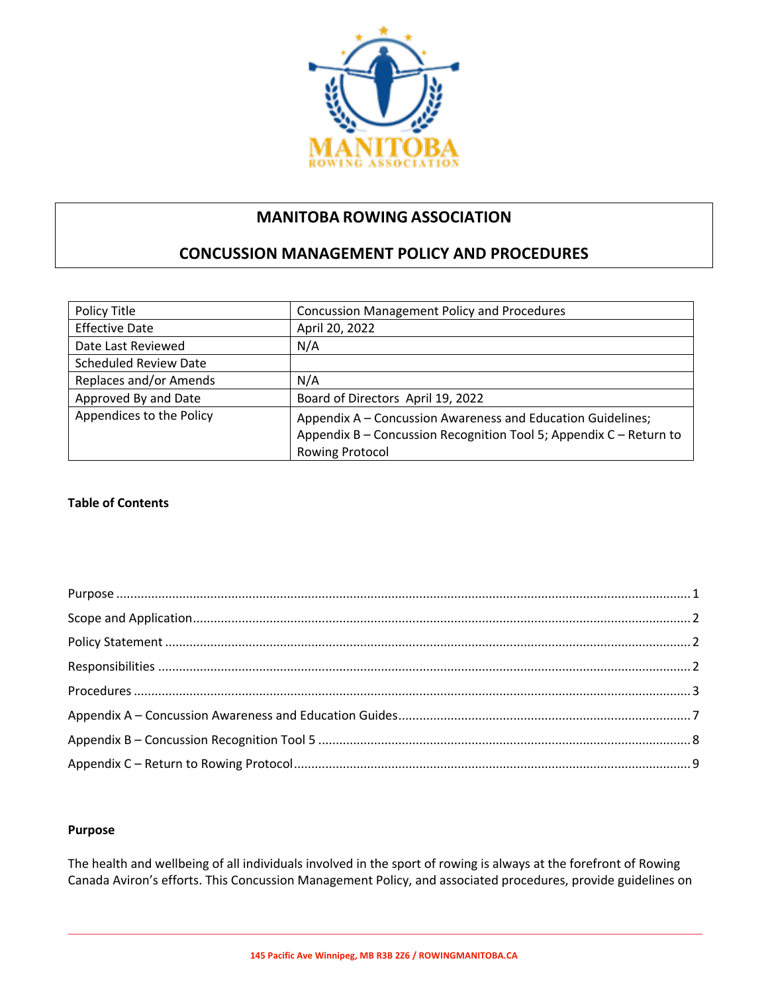

# **MANITOBA ROWING ASSOCIATION**

# **CONCUSSION MANAGEMENT POLICY AND PROCEDURES**

| Policy Title                 | <b>Concussion Management Policy and Procedures</b>                                                                                                          |
|------------------------------|-------------------------------------------------------------------------------------------------------------------------------------------------------------|
| <b>Effective Date</b>        | April 20, 2022                                                                                                                                              |
| Date Last Reviewed           | N/A                                                                                                                                                         |
| <b>Scheduled Review Date</b> |                                                                                                                                                             |
| Replaces and/or Amends       | N/A                                                                                                                                                         |
| Approved By and Date         | Board of Directors April 19, 2022                                                                                                                           |
| Appendices to the Policy     | Appendix A - Concussion Awareness and Education Guidelines;<br>Appendix B - Concussion Recognition Tool 5; Appendix C - Return to<br><b>Rowing Protocol</b> |

# **Table of Contents**

#### **Purpose**

The health and wellbeing of all individuals involved in the sport of rowing is always at the forefront of Rowing Canada Aviron's efforts. This Concussion Management Policy, and associated procedures, provide guidelines on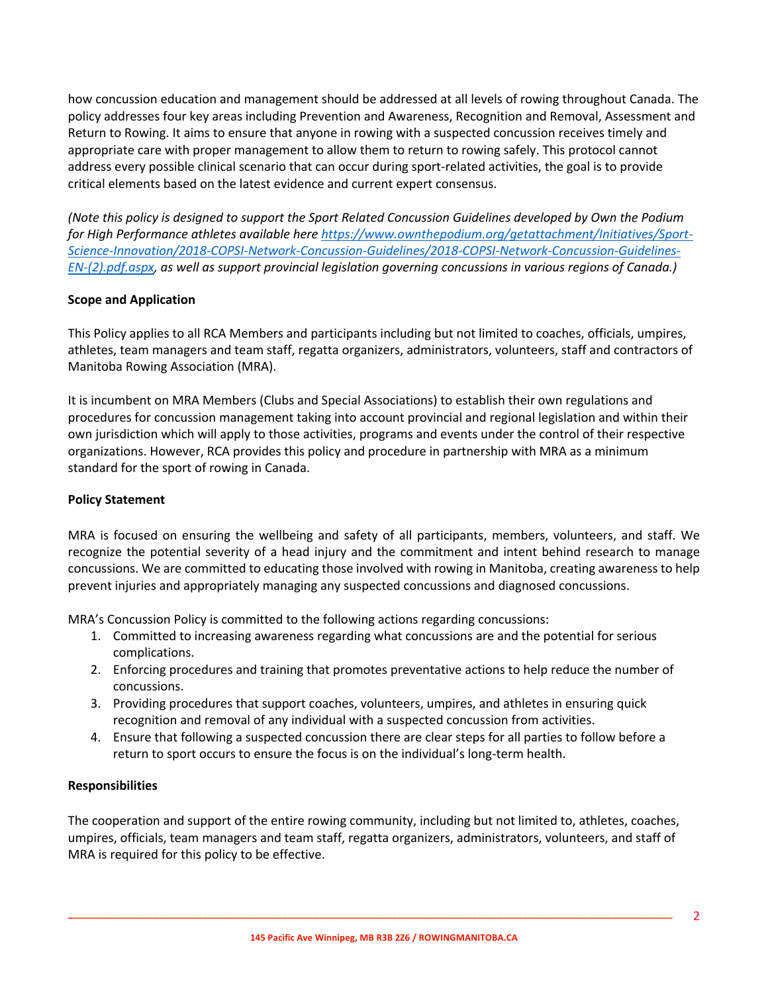how concussion education and management should be addressed at all levels of rowing throughout Canada. The policy addresses four key areas including Prevention and Awareness, Recognition and Removal, Assessment and Return to Rowing. It aims to ensure that anyone in rowing with a suspected concussion receives timely and appropriate care with proper management to allow them to return to rowing safely. This protocol cannot address every possible clinical scenario that can occur during sport-related activities, the goal is to provide critical elements based on the latest evidence and current expert consensus.

*(Note this policy is designed to support the Sport Related Concussion Guidelines developed by Own the Podium for High Performance athletes available here https://www.ownthepodium.org/getattachment/Initiatives/Sport-Science-Innovation/2018-COPSI-Network-Concussion-Guidelines/2018-COPSI-Network-Concussion-Guidelines-EN-(2).pdf.aspx, as well as support provincial legislation governing concussions in various regions of Canada.)*

#### **Scope and Application**

This Policy applies to all RCA Members and participants including but not limited to coaches, officials, umpires, athletes, team managers and team staff, regatta organizers, administrators, volunteers, staff and contractors of Manitoba Rowing Association (MRA).

It is incumbent on MRA Members (Clubs and Special Associations) to establish their own regulations and procedures for concussion management taking into account provincial and regional legislation and within their own jurisdiction which will apply to those activities, programs and events under the control of their respective organizations. However, RCA provides this policy and procedure in partnership with MRA as a minimum standard for the sport of rowing in Canada.

# **Policy Statement**

MRA is focused on ensuring the wellbeing and safety of all participants, members, volunteers, and staff. We recognize the potential severity of a head injury and the commitment and intent behind research to manage concussions. We are committed to educating those involved with rowing in Manitoba, creating awareness to help prevent injuries and appropriately managing any suspected concussions and diagnosed concussions.

MRA's Concussion Policy is committed to the following actions regarding concussions:

- 1. Committed to increasing awareness regarding what concussions are and the potential for serious complications.
- 2. Enforcing procedures and training that promotes preventative actions to help reduce the number of concussions.
- 3. Providing procedures that support coaches, volunteers, umpires, and athletes in ensuring quick recognition and removal of any individual with a suspected concussion from activities.
- 4. Ensure that following a suspected concussion there are clear steps for all parties to follow before a return to sport occurs to ensure the focus is on the individual's long-term health.

#### **Responsibilities**

The cooperation and support of the entire rowing community, including but not limited to, athletes, coaches, umpires, officials, team managers and team staff, regatta organizers, administrators, volunteers, and staff of MRA is required for this policy to be effective.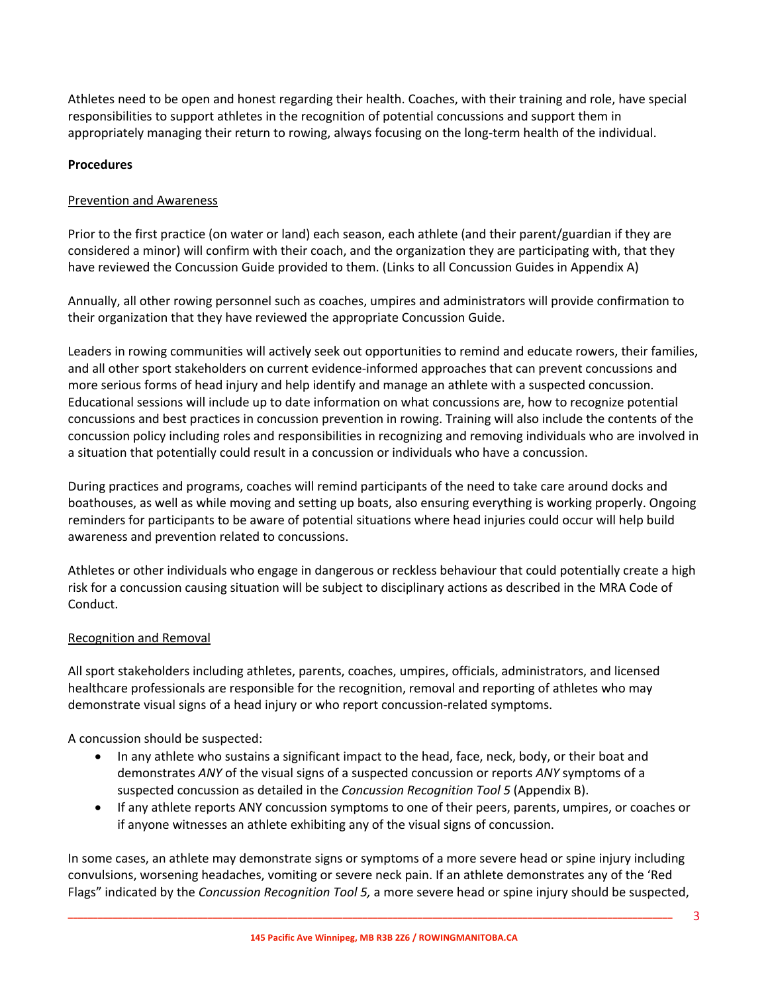Athletes need to be open and honest regarding their health. Coaches, with their training and role, have special responsibilities to support athletes in the recognition of potential concussions and support them in appropriately managing their return to rowing, always focusing on the long-term health of the individual.

### **Procedures**

### Prevention and Awareness

Prior to the first practice (on water or land) each season, each athlete (and their parent/guardian if they are considered a minor) will confirm with their coach, and the organization they are participating with, that they have reviewed the Concussion Guide provided to them. (Links to all Concussion Guides in Appendix A)

Annually, all other rowing personnel such as coaches, umpires and administrators will provide confirmation to their organization that they have reviewed the appropriate Concussion Guide.

Leaders in rowing communities will actively seek out opportunities to remind and educate rowers, their families, and all other sport stakeholders on current evidence-informed approaches that can prevent concussions and more serious forms of head injury and help identify and manage an athlete with a suspected concussion. Educational sessions will include up to date information on what concussions are, how to recognize potential concussions and best practices in concussion prevention in rowing. Training will also include the contents of the concussion policy including roles and responsibilities in recognizing and removing individuals who are involved in a situation that potentially could result in a concussion or individuals who have a concussion.

During practices and programs, coaches will remind participants of the need to take care around docks and boathouses, as well as while moving and setting up boats, also ensuring everything is working properly. Ongoing reminders for participants to be aware of potential situations where head injuries could occur will help build awareness and prevention related to concussions.

Athletes or other individuals who engage in dangerous or reckless behaviour that could potentially create a high risk for a concussion causing situation will be subject to disciplinary actions as described in the MRA Code of Conduct.

#### Recognition and Removal

All sport stakeholders including athletes, parents, coaches, umpires, officials, administrators, and licensed healthcare professionals are responsible for the recognition, removal and reporting of athletes who may demonstrate visual signs of a head injury or who report concussion-related symptoms.

A concussion should be suspected:

- In any athlete who sustains a significant impact to the head, face, neck, body, or their boat and demonstrates *ANY* of the visual signs of a suspected concussion or reports *ANY* symptoms of a suspected concussion as detailed in the *Concussion Recognition Tool 5* (Appendix B).
- If any athlete reports ANY concussion symptoms to one of their peers, parents, umpires, or coaches or if anyone witnesses an athlete exhibiting any of the visual signs of concussion.

In some cases, an athlete may demonstrate signs or symptoms of a more severe head or spine injury including convulsions, worsening headaches, vomiting or severe neck pain. If an athlete demonstrates any of the 'Red Flags" indicated by the *Concussion Recognition Tool 5,* a more severe head or spine injury should be suspected,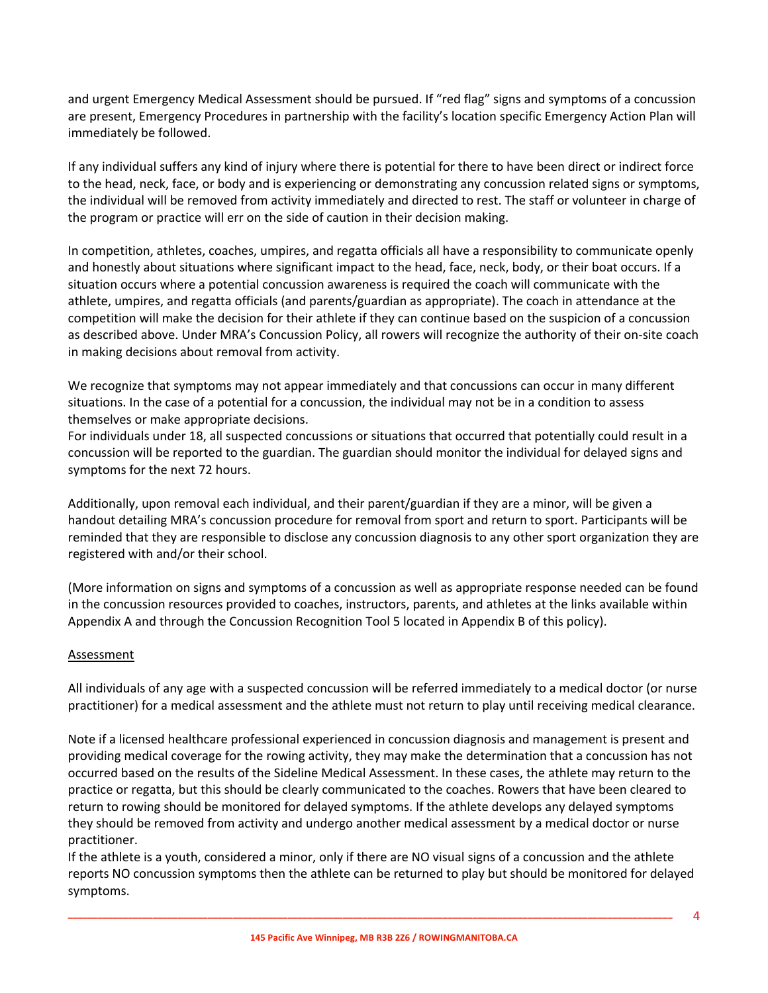and urgent Emergency Medical Assessment should be pursued. If "red flag" signs and symptoms of a concussion are present, Emergency Procedures in partnership with the facility's location specific Emergency Action Plan will immediately be followed.

If any individual suffers any kind of injury where there is potential for there to have been direct or indirect force to the head, neck, face, or body and is experiencing or demonstrating any concussion related signs or symptoms, the individual will be removed from activity immediately and directed to rest. The staff or volunteer in charge of the program or practice will err on the side of caution in their decision making.

In competition, athletes, coaches, umpires, and regatta officials all have a responsibility to communicate openly and honestly about situations where significant impact to the head, face, neck, body, or their boat occurs. If a situation occurs where a potential concussion awareness is required the coach will communicate with the athlete, umpires, and regatta officials (and parents/guardian as appropriate). The coach in attendance at the competition will make the decision for their athlete if they can continue based on the suspicion of a concussion as described above. Under MRA's Concussion Policy, all rowers will recognize the authority of their on-site coach in making decisions about removal from activity.

We recognize that symptoms may not appear immediately and that concussions can occur in many different situations. In the case of a potential for a concussion, the individual may not be in a condition to assess themselves or make appropriate decisions.

For individuals under 18, all suspected concussions or situations that occurred that potentially could result in a concussion will be reported to the guardian. The guardian should monitor the individual for delayed signs and symptoms for the next 72 hours.

Additionally, upon removal each individual, and their parent/guardian if they are a minor, will be given a handout detailing MRA's concussion procedure for removal from sport and return to sport. Participants will be reminded that they are responsible to disclose any concussion diagnosis to any other sport organization they are registered with and/or their school.

(More information on signs and symptoms of a concussion as well as appropriate response needed can be found in the concussion resources provided to coaches, instructors, parents, and athletes at the links available within Appendix A and through the Concussion Recognition Tool 5 located in Appendix B of this policy).

# **Assessment**

All individuals of any age with a suspected concussion will be referred immediately to a medical doctor (or nurse practitioner) for a medical assessment and the athlete must not return to play until receiving medical clearance.

Note if a licensed healthcare professional experienced in concussion diagnosis and management is present and providing medical coverage for the rowing activity, they may make the determination that a concussion has not occurred based on the results of the Sideline Medical Assessment. In these cases, the athlete may return to the practice or regatta, but this should be clearly communicated to the coaches. Rowers that have been cleared to return to rowing should be monitored for delayed symptoms. If the athlete develops any delayed symptoms they should be removed from activity and undergo another medical assessment by a medical doctor or nurse practitioner.

If the athlete is a youth, considered a minor, only if there are NO visual signs of a concussion and the athlete reports NO concussion symptoms then the athlete can be returned to play but should be monitored for delayed symptoms.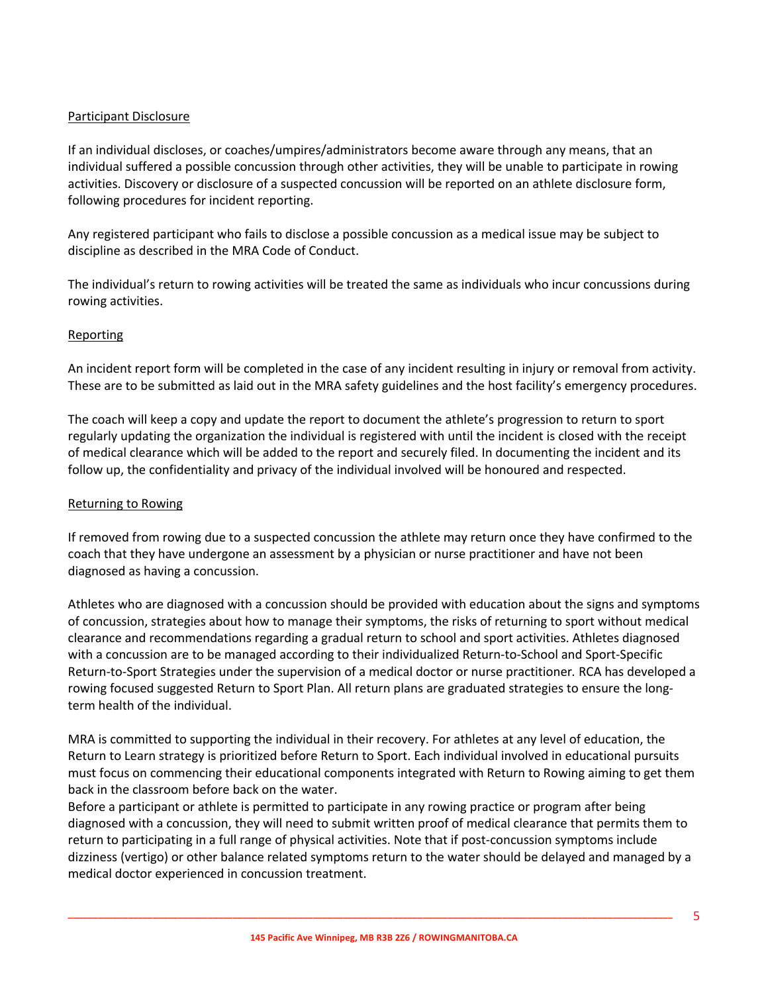# Participant Disclosure

If an individual discloses, or coaches/umpires/administrators become aware through any means, that an individual suffered a possible concussion through other activities, they will be unable to participate in rowing activities. Discovery or disclosure of a suspected concussion will be reported on an athlete disclosure form, following procedures for incident reporting.

Any registered participant who fails to disclose a possible concussion as a medical issue may be subject to discipline as described in the MRA Code of Conduct.

The individual's return to rowing activities will be treated the same as individuals who incur concussions during rowing activities.

# **Reporting**

An incident report form will be completed in the case of any incident resulting in injury or removal from activity. These are to be submitted as laid out in the MRA safety guidelines and the host facility's emergency procedures.

The coach will keep a copy and update the report to document the athlete's progression to return to sport regularly updating the organization the individual is registered with until the incident is closed with the receipt of medical clearance which will be added to the report and securely filed. In documenting the incident and its follow up, the confidentiality and privacy of the individual involved will be honoured and respected.

#### Returning to Rowing

If removed from rowing due to a suspected concussion the athlete may return once they have confirmed to the coach that they have undergone an assessment by a physician or nurse practitioner and have not been diagnosed as having a concussion.

Athletes who are diagnosed with a concussion should be provided with education about the signs and symptoms of concussion, strategies about how to manage their symptoms, the risks of returning to sport without medical clearance and recommendations regarding a gradual return to school and sport activities. Athletes diagnosed with a concussion are to be managed according to their individualized Return-to-School and Sport-Specific Return-to-Sport Strategies under the supervision of a medical doctor or nurse practitioner*.* RCA has developed a rowing focused suggested Return to Sport Plan. All return plans are graduated strategies to ensure the longterm health of the individual.

MRA is committed to supporting the individual in their recovery. For athletes at any level of education, the Return to Learn strategy is prioritized before Return to Sport. Each individual involved in educational pursuits must focus on commencing their educational components integrated with Return to Rowing aiming to get them back in the classroom before back on the water.

Before a participant or athlete is permitted to participate in any rowing practice or program after being diagnosed with a concussion, they will need to submit written proof of medical clearance that permits them to return to participating in a full range of physical activities. Note that if post-concussion symptoms include dizziness (vertigo) or other balance related symptoms return to the water should be delayed and managed by a medical doctor experienced in concussion treatment.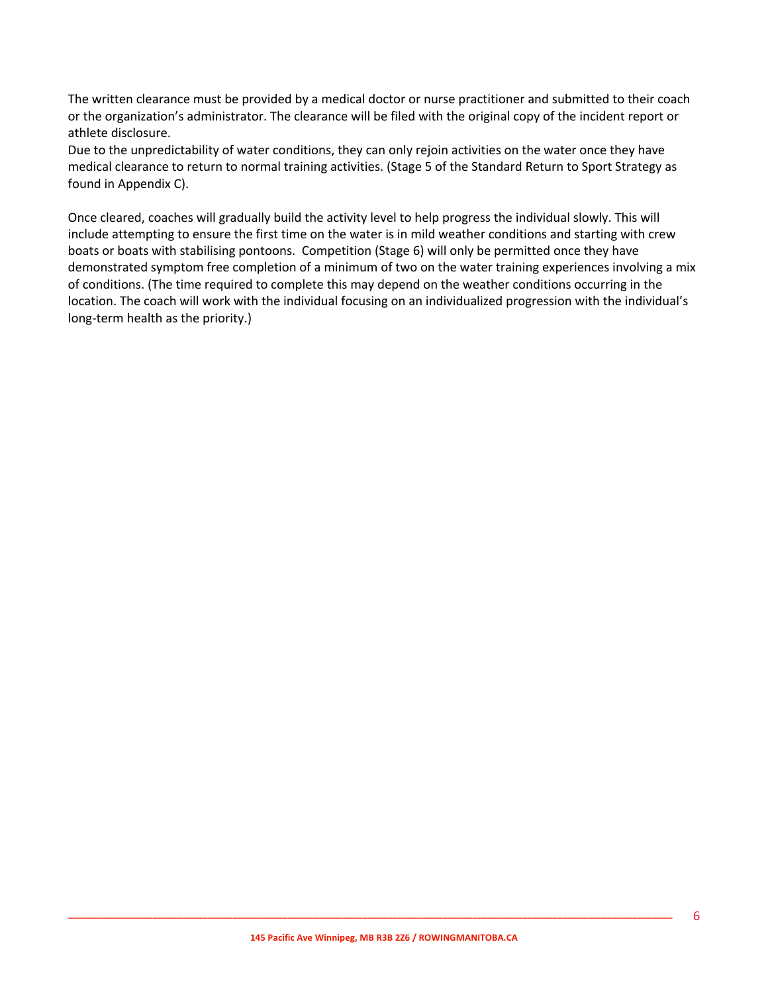The written clearance must be provided by a medical doctor or nurse practitioner and submitted to their coach or the organization's administrator. The clearance will be filed with the original copy of the incident report or athlete disclosure.

Due to the unpredictability of water conditions, they can only rejoin activities on the water once they have medical clearance to return to normal training activities. (Stage 5 of the Standard Return to Sport Strategy as found in Appendix C).

Once cleared, coaches will gradually build the activity level to help progress the individual slowly. This will include attempting to ensure the first time on the water is in mild weather conditions and starting with crew boats or boats with stabilising pontoons. Competition (Stage 6) will only be permitted once they have demonstrated symptom free completion of a minimum of two on the water training experiences involving a mix of conditions. (The time required to complete this may depend on the weather conditions occurring in the location. The coach will work with the individual focusing on an individualized progression with the individual's long-term health as the priority.)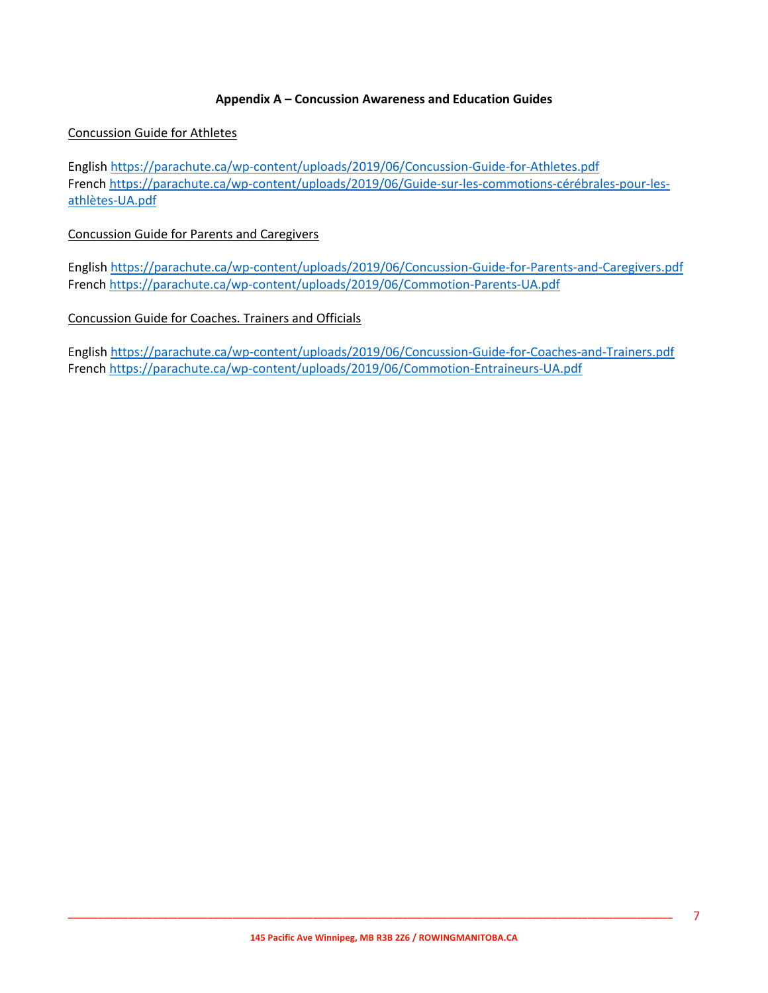#### **Appendix A – Concussion Awareness and Education Guides**

#### Concussion Guide for Athletes

English https://parachute.ca/wp-content/uploads/2019/06/Concussion-Guide-for-Athletes.pdf French https://parachute.ca/wp-content/uploads/2019/06/Guide-sur-les-commotions-cérébrales-pour-lesathlètes-UA.pdf

#### Concussion Guide for Parents and Caregivers

English https://parachute.ca/wp-content/uploads/2019/06/Concussion-Guide-for-Parents-and-Caregivers.pdf French https://parachute.ca/wp-content/uploads/2019/06/Commotion-Parents-UA.pdf

#### Concussion Guide for Coaches. Trainers and Officials

English https://parachute.ca/wp-content/uploads/2019/06/Concussion-Guide-for-Coaches-and-Trainers.pdf French https://parachute.ca/wp-content/uploads/2019/06/Commotion-Entraineurs-UA.pdf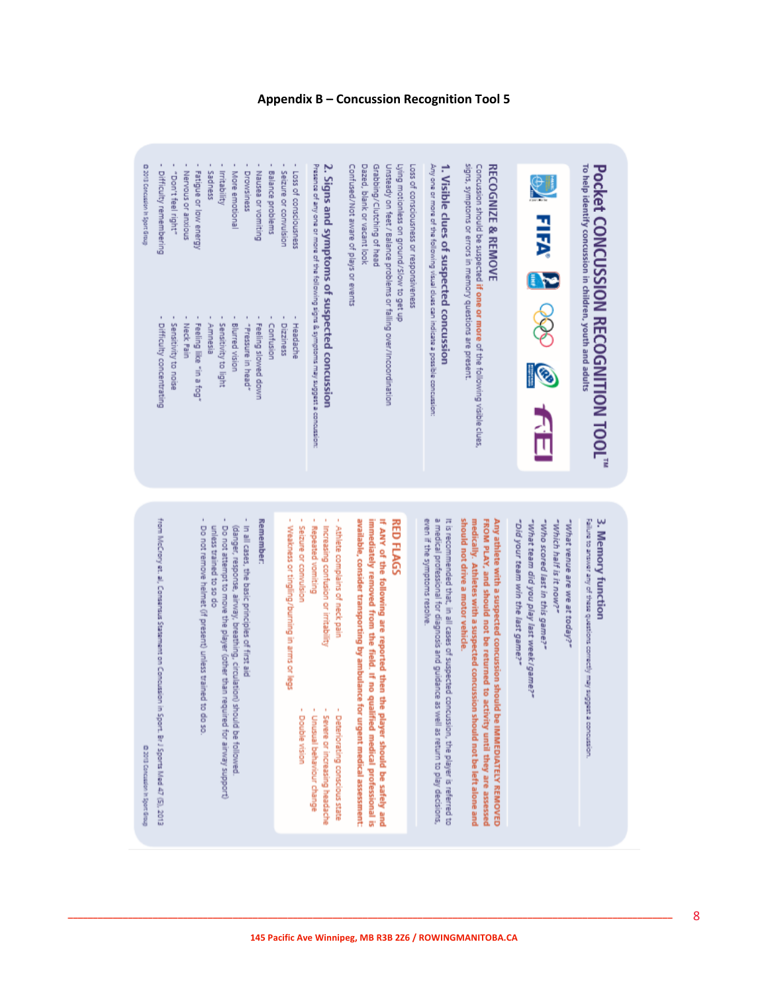

3. Memory function

"Did your team win the last game?" "Who scored last in this game?" -which half is it now?" "What venue are we at today?" "What team did you play last week/game?"

FROM PLAY, and should not be returned to activity until they are assessed should not drive a motor vehicle. medically. Athletes with a suspected concussion should not be left alone and Any athlete with a suspected concussion should be IMMEDIATELY REMOVED

It is recommended that, in all cases of suspected concussion, the player is referred to even if the symptoms resolve. a medical professional for diagnosis and guidance as well as return to play decisions,

If ANY of the following are reported then the player should be safely and available, consider transporting by ambulance for urgent medical assessment: immediately removed from the field. If no qualified medical professional is

- Increasing confusion or imitability
- Severe or increasing headache
- 
- 

Double vision

D 2013 Concussion in Sport Group

- 
- 
- 
- Detenorating conscious state
- 
- 
- 
- 
- 
- 
- 
- 
- 
- 
- 
- 
- 
- 
- Unusual behaviour change
- 
- 
- **\_\_\_\_\_\_\_\_\_\_\_\_\_\_\_\_\_\_\_\_\_\_\_\_\_\_\_\_\_\_\_\_\_\_\_\_\_\_\_\_\_\_\_\_\_\_\_\_\_\_\_\_\_\_\_\_\_\_\_\_\_\_\_\_\_\_\_\_\_\_\_\_\_\_\_\_\_\_\_\_\_\_\_\_\_\_\_\_\_\_\_\_\_\_\_\_\_\_\_\_\_\_\_\_\_\_\_\_\_\_\_\_\_\_\_\_\_\_\_\_\_**

# **Appendix B – Concussion Recognition Tool 5**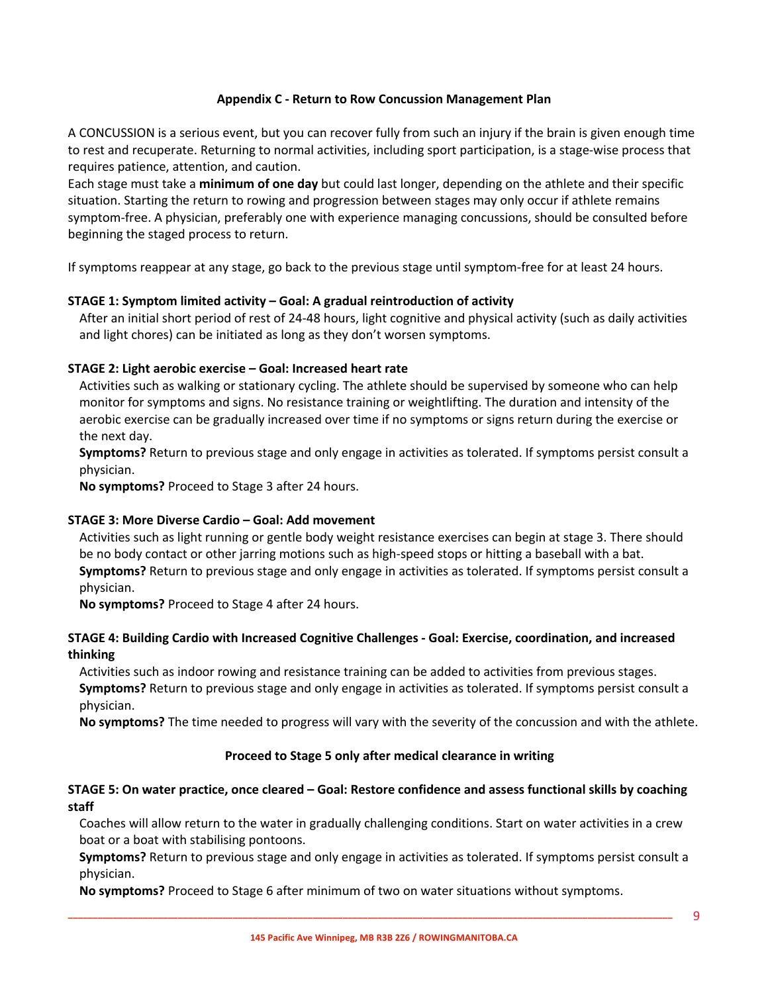### **Appendix C - Return to Row Concussion Management Plan**

A CONCUSSION is a serious event, but you can recover fully from such an injury if the brain is given enough time to rest and recuperate. Returning to normal activities, including sport participation, is a stage-wise process that requires patience, attention, and caution.

Each stage must take a **minimum of one day** but could last longer, depending on the athlete and their specific situation. Starting the return to rowing and progression between stages may only occur if athlete remains symptom-free. A physician, preferably one with experience managing concussions, should be consulted before beginning the staged process to return.

If symptoms reappear at any stage, go back to the previous stage until symptom-free for at least 24 hours.

# **STAGE 1: Symptom limited activity – Goal: A gradual reintroduction of activity**

After an initial short period of rest of 24-48 hours, light cognitive and physical activity (such as daily activities and light chores) can be initiated as long as they don't worsen symptoms.

# **STAGE 2: Light aerobic exercise – Goal: Increased heart rate**

Activities such as walking or stationary cycling. The athlete should be supervised by someone who can help monitor for symptoms and signs. No resistance training or weightlifting. The duration and intensity of the aerobic exercise can be gradually increased over time if no symptoms or signs return during the exercise or the next day.

**Symptoms?** Return to previous stage and only engage in activities as tolerated. If symptoms persist consult a physician.

**No symptoms?** Proceed to Stage 3 after 24 hours.

#### **STAGE 3: More Diverse Cardio – Goal: Add movement**

Activities such as light running or gentle body weight resistance exercises can begin at stage 3. There should be no body contact or other jarring motions such as high-speed stops or hitting a baseball with a bat. **Symptoms?** Return to previous stage and only engage in activities as tolerated. If symptoms persist consult a physician.

**No symptoms?** Proceed to Stage 4 after 24 hours.

# **STAGE 4: Building Cardio with Increased Cognitive Challenges - Goal: Exercise, coordination, and increased thinking**

Activities such as indoor rowing and resistance training can be added to activities from previous stages. **Symptoms?** Return to previous stage and only engage in activities as tolerated. If symptoms persist consult a physician.

**No symptoms?** The time needed to progress will vary with the severity of the concussion and with the athlete.

# **Proceed to Stage 5 only after medical clearance in writing**

# **STAGE 5: On water practice, once cleared – Goal: Restore confidence and assess functional skills by coaching staff**

Coaches will allow return to the water in gradually challenging conditions. Start on water activities in a crew boat or a boat with stabilising pontoons.

**Symptoms?** Return to previous stage and only engage in activities as tolerated. If symptoms persist consult a physician.

**No symptoms?** Proceed to Stage 6 after minimum of two on water situations without symptoms.